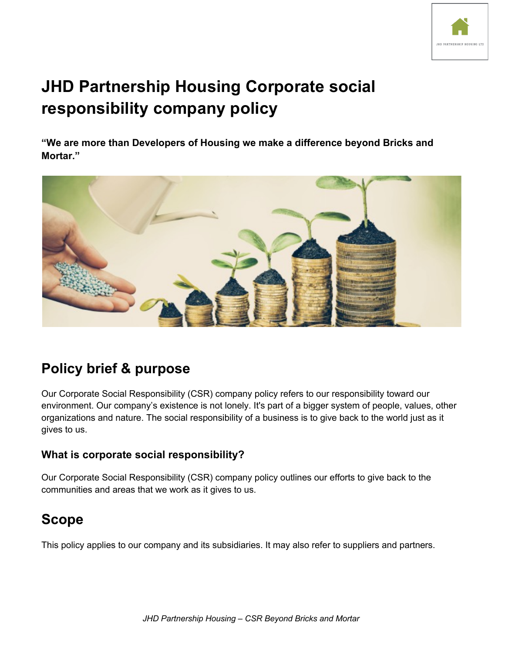

# **JHD Partnership Housing Corporate social responsibility company policy**

**"We are more than Developers of Housing we make a difference beyond Bricks and Mortar."**



## **Policy brief & purpose**

Our Corporate Social Responsibility (CSR) company policy refers to our responsibility toward our environment. Our company's existence is not lonely. It's part of a bigger system of people, values, other organizations and nature. The social responsibility of a business is to give back to the world just as it gives to us.

## **What is corporate social responsibility?**

Our Corporate Social Responsibility (CSR) company policy outlines our efforts to give back to the communities and areas that we work as it gives to us.

## **Scope**

This policy applies to our company and its subsidiaries. It may also refer to suppliers and partners.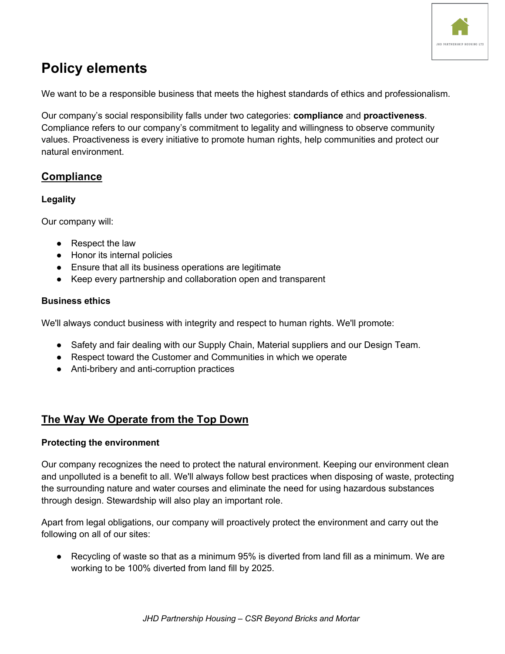

## **Policy elements**

We want to be a responsible business that meets the highest standards of ethics and professionalism.

Our company's social responsibility falls under two categories: **compliance** and **proactiveness**. Compliance refers to our company's commitment to legality and willingness to observe community values. Proactiveness is every initiative to promote human rights, help communities and protect our natural environment.

## **Compliance**

### **Legality**

Our company will:

- Respect the law
- Honor its internal policies
- Ensure that all its business operations are legitimate
- Keep every partnership and collaboration open and transparent

### **Business ethics**

We'll always conduct business with integrity and respect to human rights. We'll promote:

- Safety and fair dealing with our Supply Chain, Material suppliers and our Design Team.
- Respect toward the Customer and Communities in which we operate
- Anti-bribery and anti-corruption practices

## **The Way We Operate from the Top Down**

### **Protecting the environment**

Our company recognizes the need to protect the natural environment. Keeping our environment clean and unpolluted is a benefit to all. We'll always follow best practices when disposing of waste, protecting the surrounding nature and water courses and eliminate the need for using hazardous substances through design. Stewardship will also play an important role.

Apart from legal obligations, our company will proactively protect the environment and carry out the following on all of our sites:

● Recycling of waste so that as a minimum 95% is diverted from land fill as a minimum. We are working to be 100% diverted from land fill by 2025.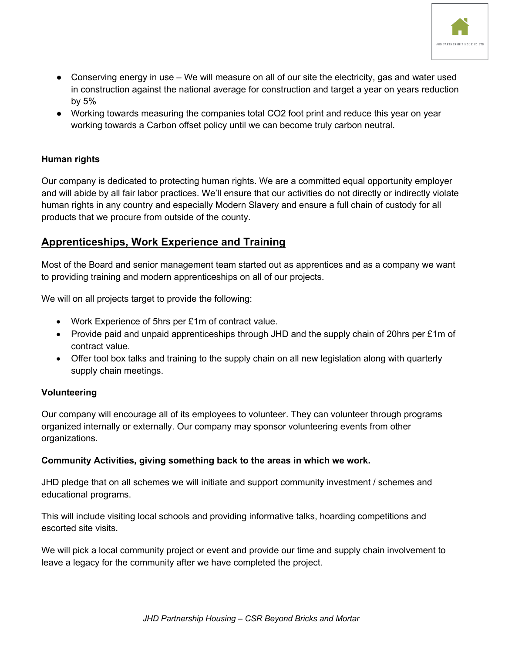

- Conserving energy in use We will measure on all of our site the electricity, gas and water used in construction against the national average for construction and target a year on years reduction by 5%
- Working towards measuring the companies total CO2 foot print and reduce this year on year working towards a Carbon offset policy until we can become truly carbon neutral.

### **Human rights**

Our company is dedicated to protecting human rights. We are a committed equal opportunity employer and will abide by all fair labor practices. We'll ensure that our activities do not directly or indirectly violate human rights in any country and especially Modern Slavery and ensure a full chain of custody for all products that we procure from outside of the county.

## **Apprenticeships, Work Experience and Training**

Most of the Board and senior management team started out as apprentices and as a company we want to providing training and modern apprenticeships on all of our projects.

We will on all projects target to provide the following:

- Work Experience of 5hrs per £1m of contract value.
- Provide paid and unpaid apprenticeships through JHD and the supply chain of 20hrs per £1m of contract value.
- Offer tool box talks and training to the supply chain on all new legislation along with quarterly supply chain meetings.

### **Volunteering**

Our company will encourage all of its employees to volunteer. They can volunteer through programs organized internally or externally. Our company may sponsor volunteering events from other organizations.

#### **Community Activities, giving something back to the areas in which we work.**

JHD pledge that on all schemes we will initiate and support community investment / schemes and educational programs.

This will include visiting local schools and providing informative talks, hoarding competitions and escorted site visits.

We will pick a local community project or event and provide our time and supply chain involvement to leave a legacy for the community after we have completed the project.